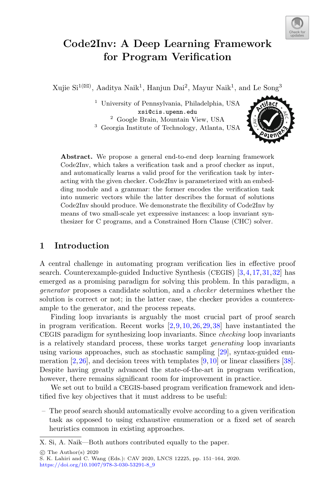

# **Code2Inv: A Deep Learning Framework for Program Verification**

Xujie Si<sup>1( $\boxtimes$ )</sup>, Aaditya Naik<sup>1</sup>, Hanjun Dai<sup>2</sup>, Mayur Naik<sup>1</sup>, and Le Song<sup>3</sup>

 University of Pennsylvania, Philadelphia, USA xsi@cis.upenn.edu Google Brain, Mountain View, USA Georgia Institute of Technology, Atlanta, USA



**Abstract.** We propose a general end-to-end deep learning framework Code2Inv, which takes a verification task and a proof checker as input, and automatically learns a valid proof for the verification task by interacting with the given checker. Code2Inv is parameterized with an embedding module and a grammar: the former encodes the verification task into numeric vectors while the latter describes the format of solutions Code2Inv should produce. We demonstrate the flexibility of Code2Inv by means of two small-scale yet expressive instances: a loop invariant synthesizer for C programs, and a Constrained Horn Clause (CHC) solver.

### **1 Introduction**

A central challenge in automating program verification lies in effective proof search. Counterexample-guided Inductive Synthesis (CEGIS) [\[3,](#page-10-0)[4,](#page-10-1)[17](#page-11-0)[,31](#page-12-0),[32\]](#page-12-1) has emerged as a promising paradigm for solving this problem. In this paradigm, a *generator* proposes a candidate solution, and a *checker* determines whether the solution is correct or not; in the latter case, the checker provides a counterexample to the generator, and the process repeats.

Finding loop invariants is arguably the most crucial part of proof search in program verification. Recent works [\[2](#page-10-2)[,9](#page-11-1),[10,](#page-11-2)[26](#page-12-2)[,29](#page-12-3),[38\]](#page-12-4) have instantiated the CEGIS paradigm for synthesizing loop invariants. Since *checking* loop invariants is a relatively standard process, these works target *generating* loop invariants using various approaches, such as stochastic sampling [\[29\]](#page-12-3), syntax-guided enumeration  $[2,26]$  $[2,26]$ , and decision trees with templates  $[9,10]$  $[9,10]$  $[9,10]$  or linear classifiers  $[38]$ . Despite having greatly advanced the state-of-the-art in program verification, however, there remains significant room for improvement in practice.

We set out to build a CEGIS-based program verification framework and identified five key objectives that it must address to be useful:

– The proof search should automatically evolve according to a given verification task as opposed to using exhaustive enumeration or a fixed set of search heuristics common in existing approaches.

 $\odot$  The Author(s) 2020

X. Si, A. Naik—Both authors contributed equally to the paper.

S. K. Lahiri and C. Wang (Eds.): CAV 2020, LNCS 12225, pp. 151–164, 2020. [https://doi.org/10.1007/978-3-030-53291-8](https://doi.org/10.1007/978-3-030-53291-8_9)\_9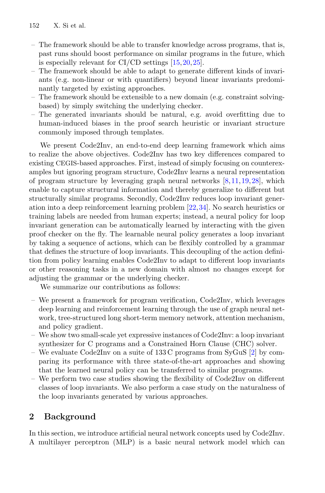- The framework should be able to transfer knowledge across programs, that is, past runs should boost performance on similar programs in the future, which is especially relevant for CI/CD settings [\[15](#page-11-3)[,20](#page-11-4),[25\]](#page-12-5).
- The framework should be able to adapt to generate different kinds of invariants (e.g. non-linear or with quantifiers) beyond linear invariants predominantly targeted by existing approaches.
- The framework should be extensible to a new domain (e.g. constraint solvingbased) by simply switching the underlying checker.
- The generated invariants should be natural, e.g. avoid overfitting due to human-induced biases in the proof search heuristic or invariant structure commonly imposed through templates.

We present Code2Inv, an end-to-end deep learning framework which aims to realize the above objectives. Code2Inv has two key differences compared to existing CEGIS-based approaches. First, instead of simply focusing on counterexamples but ignoring program structure, Code2Inv learns a neural representation of program structure by leveraging graph neural networks  $[8,11,19,28]$  $[8,11,19,28]$  $[8,11,19,28]$  $[8,11,19,28]$  $[8,11,19,28]$  $[8,11,19,28]$ , which enable to capture structural information and thereby generalize to different but structurally similar programs. Secondly, Code2Inv reduces loop invariant generation into a deep reinforcement learning problem [\[22](#page-11-8)[,34](#page-12-7)]. No search heuristics or training labels are needed from human experts; instead, a neural policy for loop invariant generation can be automatically learned by interacting with the given proof checker on the fly. The learnable neural policy generates a loop invariant by taking a sequence of actions, which can be flexibly controlled by a grammar that defines the structure of loop invariants. This decoupling of the action definition from policy learning enables Code2Inv to adapt to different loop invariants or other reasoning tasks in a new domain with almost no changes except for adjusting the grammar or the underlying checker.

We summarize our contributions as follows:

- We present a framework for program verification, Code2Inv, which leverages deep learning and reinforcement learning through the use of graph neural network, tree-structured long short-term memory network, attention mechanism, and policy gradient.
- We show two small-scale yet expressive instances of Code2Inv: a loop invariant synthesizer for C programs and a Constrained Horn Clause (CHC) solver.
- We evaluate Code2Inv on a suite of 133 C programs from SyGuS [\[2\]](#page-10-2) by comparing its performance with three state-of-the-art approaches and showing that the learned neural policy can be transferred to similar programs.
- We perform two case studies showing the flexibility of Code2Inv on different classes of loop invariants. We also perform a case study on the naturalness of the loop invariants generated by various approaches.

## **2 Background**

In this section, we introduce artificial neural network concepts used by Code2Inv. A multilayer perceptron (MLP) is a basic neural network model which can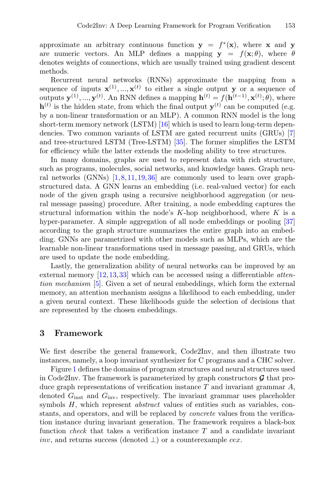approximate an arbitrary continuous function  $y = f^*(x)$ , where **x** and **y** are numeric vectors. An MLP defines a mapping  $\mathbf{v} = f(\mathbf{x}; \theta)$ , where  $\theta$ denotes weights of connections, which are usually trained using gradient descent methods.

Recurrent neural networks (RNNs) approximate the mapping from a sequence of inputs  $\mathbf{x}^{(1)},...,\mathbf{x}^{(t)}$  to either a single output **y** or a sequence of outputs  $\mathbf{y}^{(1)}, ..., \mathbf{y}^{(t)}$ . An RNN defines a mapping  $\mathbf{h}^{(t)} = f(\mathbf{h}^{(t-1)}, \mathbf{x}^{(t)}; \theta)$ , where  $\mathbf{h}^{(t)}$  is the hidden state, from which the final output  $\mathbf{y}^{(t)}$  can be computed (e.g. by a non-linear transformation or an MLP). A common RNN model is the long short-term memory network (LSTM) [\[16](#page-11-9)] which is used to learn long-term dependencies. Two common variants of LSTM are gated recurrent units (GRUs) [\[7\]](#page-11-10) and tree-structured LSTM (Tree-LSTM) [\[35](#page-12-8)]. The former simplifies the LSTM for efficiency while the latter extends the modeling ability to tree structures.

In many domains, graphs are used to represent data with rich structure, such as programs, molecules, social networks, and knowledge bases. Graph neural networks (GNNs)  $[1,8,11,19,36]$  $[1,8,11,19,36]$  $[1,8,11,19,36]$  $[1,8,11,19,36]$  $[1,8,11,19,36]$  $[1,8,11,19,36]$  are commonly used to learn over graphstructured data. A GNN learns an embedding (i.e. real-valued vector) for each node of the given graph using a recursive neighborhood aggregation (or neural message passing) procedure. After training, a node embedding captures the structural information within the node's  $K$ -hop neighborhood, where  $K$  is a hyper-parameter. A simple aggregation of all node embeddings or pooling [\[37\]](#page-12-10) according to the graph structure summarizes the entire graph into an embedding. GNNs are parametrized with other models such as MLPs, which are the learnable non-linear transformations used in message passing, and GRUs, which are used to update the node embedding.

Lastly, the generalization ability of neural networks can be improved by an external memory [\[12,](#page-11-11)[13](#page-11-12)[,33](#page-12-11)] which can be accessed using a differentiable *attention mechanism* [\[5\]](#page-10-4). Given a set of neural embeddings, which form the external memory, an attention mechanism assigns a likelihood to each embedding, under a given neural context. These likelihoods guide the selection of decisions that are represented by the chosen embeddings.

### **3 Framework**

We first describe the general framework, Code2Inv, and then illustrate two instances, namely, a loop invariant synthesizer for C programs and a CHC solver.

Figure [1](#page-3-0) defines the domains of program structures and neural structures used in Code2Inv. The framework is parameterized by graph constructors  $\mathcal G$  that produce graph representations of verification instance  $T$  and invariant grammar  $A$ , denoted  $G_{\text{inst}}$  and  $G_{\text{inv}}$ , respectively. The invariant grammar uses placeholder symbols H, which represent *abstract* values of entities such as variables, constants, and operators, and will be replaced by *concrete* values from the verification instance during invariant generation. The framework requires a black-box function *check* that takes a verification instance T and a candidate invariant *inv*, and returns success (denoted  $\bot$ ) or a counterexample *cex*.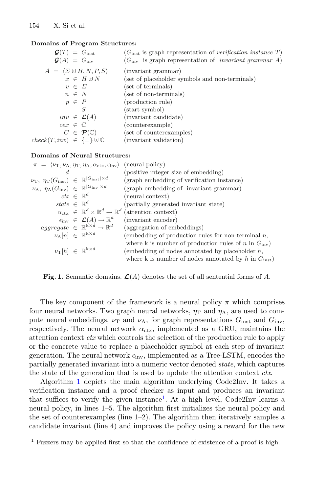| $A = \langle \Sigma \uplus H, N, P, S \rangle$<br>(invariant grammar)<br>$x \in H \oplus N$<br>(set of placeholder symbols and non-terminals)<br>$v \in \Sigma$<br>(set of terminals)<br>(set of non-terminals)<br>$n \in N$<br>(production rule)<br>$p \in P$<br>S<br>(start symbol)<br>$inv \in \mathcal{L}(A)$<br>(invariant candidate)<br>$cex \in \mathbb{C}$<br>(counterexample)<br>$C \in \mathcal{P}(\mathbb{C})$<br>(set of counterexamples)<br>$check(T, inv) \in {\{\perp\}} \cup \mathbb{C}$<br>(invariant validation) | $\mathcal{G}(T) = G_{\text{inst}}$<br>$\mathcal{G}(A) = G_{\text{inv}}$ | $(G_{\text{inst}})$ is graph representation of verification instance T)<br>$(G_{\text{inv}})$ is graph representation of <i>invariant grammar A</i> ) |
|------------------------------------------------------------------------------------------------------------------------------------------------------------------------------------------------------------------------------------------------------------------------------------------------------------------------------------------------------------------------------------------------------------------------------------------------------------------------------------------------------------------------------------|-------------------------------------------------------------------------|-------------------------------------------------------------------------------------------------------------------------------------------------------|
|                                                                                                                                                                                                                                                                                                                                                                                                                                                                                                                                    |                                                                         |                                                                                                                                                       |
|                                                                                                                                                                                                                                                                                                                                                                                                                                                                                                                                    |                                                                         |                                                                                                                                                       |
|                                                                                                                                                                                                                                                                                                                                                                                                                                                                                                                                    |                                                                         |                                                                                                                                                       |

### Domains of Neural Structures:

|                                                                                                             | $\pi = \langle \nu_{\rm T}, \nu_{\rm A}, \eta_{\rm T}, \eta_{\rm A}, \alpha_{\rm ctx}, \epsilon_{\rm inv} \rangle$ | (neural policy)                                                  |
|-------------------------------------------------------------------------------------------------------------|--------------------------------------------------------------------------------------------------------------------|------------------------------------------------------------------|
| d                                                                                                           |                                                                                                                    | (positive integer size of embedding)                             |
| $\nu_{\rm T}, \eta_{\rm T}(G_{\rm inst}) \in \mathbb{R}^{ G_{\rm inst}  \times d}$                          |                                                                                                                    | (graph embedding of verification instance)                       |
| $\nu_{\mathrm{A}},~\eta_{\mathrm{A}}\big(G_{\mathrm{inv}}\big)~\in~\mathbb{R}^{ G_{\mathrm{inv}} \times d}$ |                                                                                                                    | (graph embedding of invariant grammar)                           |
| $\mathit{ctx} \in \mathbb{R}^d$                                                                             |                                                                                                                    | (neural context)                                                 |
| state $\in \mathbb{R}^d$                                                                                    |                                                                                                                    | (partially generated invariant state)                            |
|                                                                                                             | $\alpha_{\text{ctx}} \in \mathbb{R}^d \times \mathbb{R}^d \rightarrow \mathbb{R}^d$                                | (attention context)                                              |
|                                                                                                             | $\epsilon_{\text{inv}} \in \mathcal{L}(A) \to \mathbb{R}^d$                                                        | (invariant encoder)                                              |
|                                                                                                             | $aggregate \in \mathbb{R}^{\hat{k} \times \hat{d}} \rightarrow \mathbb{R}^d$                                       | (aggregation of embeddings)                                      |
| $\nu_A[n] \in \mathbb{R}^{k \times d}$                                                                      |                                                                                                                    | (embedding of production rules for non-terminal $n$ ,            |
|                                                                                                             |                                                                                                                    | where k is number of production rules of n in $G_{\text{inv}}$ ) |
| $\nu_{\rm T}[h] \in \mathbb{R}^{k \times d}$                                                                |                                                                                                                    | (embedding of nodes annotated by placeholder $h$ ,               |
|                                                                                                             |                                                                                                                    | where k is number of nodes annotated by h in $G_{inst}$ )        |
|                                                                                                             |                                                                                                                    |                                                                  |

<span id="page-3-0"></span>**Fig. 1.** Semantic domains.  $\mathcal{L}(A)$  denotes the set of all sentential forms of A.

The key component of the framework is a neural policy  $\pi$  which comprises four neural networks. Two graph neural networks,  $\eta_T$  and  $\eta_A$ , are used to compute neural embeddings,  $\nu_{\rm T}$  and  $\nu_{\rm A}$ , for graph representations  $G_{\rm inst}$  and  $G_{\rm inv}$ , respectively. The neural network  $\alpha_{\rm{ctx}}$ , implemented as a GRU, maintains the attention context *ctx* which controls the selection of the production rule to apply or the concrete value to replace a placeholder symbol at each step of invariant generation. The neural network  $\epsilon_{\rm inv}$ , implemented as a Tree-LSTM, encodes the partially generated invariant into a numeric vector denoted *state*, which captures the state of the generation that is used to update the attention context *ctx*.

Algorithm [1](#page-4-0) depicts the main algorithm underlying Code2Inv. It takes a verification instance and a proof checker as input and produces an invariant that suffices to verify the given instance<sup>[1](#page-3-1)</sup>. At a high level,  $Code2Inv$  learns a neural policy, in lines 1–5. The algorithm first initializes the neural policy and the set of counterexamples (line  $1-2$ ). The algorithm then iteratively samples a candidate invariant (line 4) and improves the policy using a reward for the new

<span id="page-3-1"></span><sup>1</sup> Fuzzers may be applied first so that the confidence of existence of a proof is high.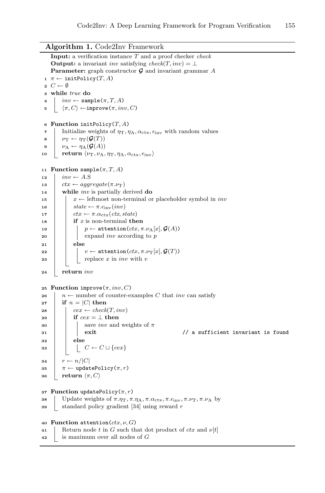```
Algorithm 1. Code2Inv Framework
```

```
Input: a verification instance T and a proof checker check
      Output: a invariant inv satisfying check(T, inv) = \botParameter: graph constructor \mathcal G and invariant grammar A
  1 \pi ← initPolicy(T, A)<br>2 C ← Ø
  2^{\circ} C ← \psi<br>2 while true do
  4 inv \leftarrow \text{sample}(\pi, T, A)<br>5 \langle \pi, C \rangle \leftarrow \text{improve}(\pi, in)\langle \pi, C \rangle \leftarrowimprove(\pi, inv, C)6 Function initPolicy(T, A)<br>7 Initialize weights of n_T,
  7 Initialize weights of \eta_{\text{T}}, \eta_{\text{A}}, \alpha_{\text{ctx}}, \epsilon_{\text{inv}} with random values <br>8 \nu_{\text{T}} \leftarrow \eta_{\text{T}}(\mathcal{G}(T))8 \nu_{\text{T}} \leftarrow \eta_{\text{T}}(\mathcal{G}(T))<br>9 \nu_{\text{A}} \leftarrow n_{\text{A}}(\mathcal{G}(A))9 \nu_A \leftarrow \eta_A(\mathcal{G}(A))<br>
10 return (\nu_T, \nu_A)return \langle \nu_{\rm T}, \nu_{\rm A}, \eta_{\rm T}, \eta_{\rm A}, \alpha_{\rm ctx}, \epsilon_{\rm inv} \rangle11 <b>Function sample(\pi, T, A)<br>12 \mid inv \leftarrow A.S
\begin{array}{c|c}\n\mathbf{12} & inv \leftarrow A.S \\
\mathbf{13} & \mathbf{14} & \mathbf{15}\n\end{array}13 ctx ← aggregate(\pi.\nu_{\rm T})<br>14 while inv is partially d
               14 while inv is partially derived do
15 x \leftarrow leftmost non-terminal or placeholder symbol in inv<br>
16 \begin{bmatrix} x \leftarrow \pi, \epsilon_{\text{inv}}(inv) \end{bmatrix}16 state ← \pi.\epsilon_{\text{inv}}(inv)<br>17 ctr ← \pi \text{ over } (ctr, s)17 ctx \leftarrow \pi.\alpha_{\text{ctx}}(ctx, state)<br>
18 if x is non-terminal the
                       18 if x is non-terminal then
19 p \leftarrow \text{attention}(ctx, \pi.\nu_A[x], \mathcal{G}(A))<br>20 expand inv according to p
\begin{array}{c|c} \text{20} \\ \text{21} \end{array} expand inv according to p<br>else
                       21 else
22 v \leftarrow attention(ctx, \pi \cdot \nu_{\text{T}}[x], \mathcal{G}(T))<br>
23 replace x in inv with v
                               replace x in inv with v24 return inv
25 Function improve(\pi, inv, C)<br>26 \mid n \leftarrow number of counter-ex-
26 n ← number of counter-examples C that inv can satisfy<br>
<sup>27</sup> if n = |C| then
\begin{array}{|c|c|c|c|}\n\hline\n\text{27} & \text{if } n = |C| \text{ then} \\
\hline\n\text{28} & & cex \leftarrow check\n\end{array}28 cex ← check(T, inv)<br>29 if cex = 1 then
29 if cex = \perp then<br>30 i save inv and
30 31 save inv and weights of \pi<br>211 exit
                                                                                                       31 exit // a sufficient invariant is found
32 else
33 \begin{array}{|c|c|c|c|c|} \hline \quad & C \leftarrow C \cup \{cex\} \end{array}34 r \leftarrow n / |C|<br>
35 \pi \leftarrow \text{updatePolicy}(\pi, r)<br>
36 return \pi C \setminus36 return \langle \pi, C \rangle37 Function updatePolicy(\pi, r)<br>38 Update weights of \pi. n_{\text{T}}, \pi38 Update weights of \pi.\eta_T, \pi.\eta_A, \pi.\alpha_{\text{ctx}}, \pi.\epsilon_{\text{inv}}, \pi.\nu_T, \pi.\nu_A by standard policy gradient [34] using reward r
               39 standard policy gradient [34] using reward r
40 Function attention(ctx, \nu, G)<br>41 Return node t in G such the
41 Return node t in G such that dot product of ctx and \nu[t]<br>42 is maximum over all nodes of G
               is maximum over all nodes of {\cal G}
```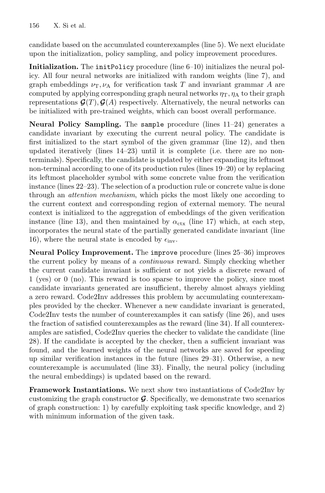candidate based on the accumulated counterexamples (line 5). We next elucidate upon the initialization, policy sampling, and policy improvement procedures.

**Initialization.** The initralized procedure (line  $6-10$ ) initializes the neural policy. All four neural networks are initialized with random weights (line 7), and graph embeddings  $\nu_{\rm T}, \nu_{\rm A}$  for verification task T and invariant grammar A are computed by applying corresponding graph neural networks  $\eta_T$ ,  $\eta_A$  to their graph representations  $\mathcal{G}(T), \mathcal{G}(A)$  respectively. Alternatively, the neural networks can be initialized with pre-trained weights, which can boost overall performance.

**Neural Policy Sampling.** The sample procedure (lines 11–24) generates a candidate invariant by executing the current neural policy. The candidate is first initialized to the start symbol of the given grammar (line 12), and then updated iteratively (lines 14–23) until it is complete (i.e. there are no nonterminals). Specifically, the candidate is updated by either expanding its leftmost non-terminal according to one of its production rules (lines 19–20) or by replacing its leftmost placeholder symbol with some concrete value from the verification instance (lines 22–23). The selection of a production rule or concrete value is done through an *attention mechanism*, which picks the most likely one according to the current context and corresponding region of external memory. The neural context is initialized to the aggregation of embeddings of the given verification instance (line 13), and then maintained by  $\alpha_{\text{ctx}}$  (line 17) which, at each step, incorporates the neural state of the partially generated candidate invariant (line 16), where the neural state is encoded by  $\epsilon_{\text{inv}}$ .

**Neural Policy Improvement.** The improve procedure (lines 25–36) improves the current policy by means of a *continuous* reward. Simply checking whether the current candidate invariant is sufficient or not yields a discrete reward of 1 (yes) or 0 (no). This reward is too sparse to improve the policy, since most candidate invariants generated are insufficient, thereby almost always yielding a zero reward. Code2Inv addresses this problem by accumulating counterexamples provided by the checker. Whenever a new candidate invariant is generated, Code2Inv tests the number of counterexamples it can satisfy (line 26), and uses the fraction of satisfied counterexamples as the reward (line 34). If all counterexamples are satisfied, Code2Inv queries the checker to validate the candidate (line 28). If the candidate is accepted by the checker, then a sufficient invariant was found, and the learned weights of the neural networks are saved for speeding up similar verification instances in the future (lines 29–31). Otherwise, a new counterexample is accumulated (line 33). Finally, the neural policy (including the neural embeddings) is updated based on the reward.

**Framework Instantiations.** We next show two instantiations of Code2Inv by customizing the graph constructor  $\mathcal{G}$ . Specifically, we demonstrate two scenarios of graph construction: 1) by carefully exploiting task specific knowledge, and 2) with minimum information of the given task.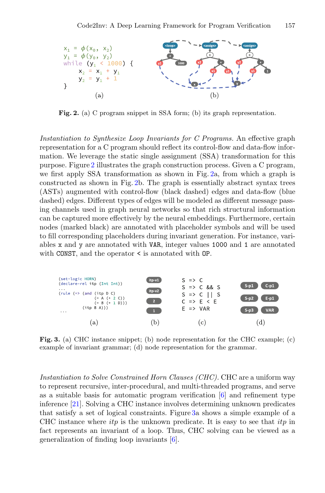

<span id="page-6-0"></span>**Fig. 2.** (a) C program snippet in SSA form; (b) its graph representation.

*Instantiation to Synthesize Loop Invariants for C Programs.* An effective graph representation for a C program should reflect its control-flow and data-flow information. We leverage the static single assignment (SSA) transformation for this purpose. Figure [2](#page-6-0) illustrates the graph construction process. Given a C program, we first apply SSA transformation as shown in Fig. [2a](#page-6-0), from which a graph is constructed as shown in Fig. [2b](#page-6-0). The graph is essentially abstract syntax trees (ASTs) augmented with control-flow (black dashed) edges and data-flow (blue dashed) edges. Different types of edges will be modeled as different message passing channels used in graph neural networks so that rich structural information can be captured more effectively by the neural embeddings. Furthermore, certain nodes (marked black) are annotated with placeholder symbols and will be used to fill corresponding placeholders during invariant generation. For instance, variables x and y are annotated with VAR, integer values 1000 and 1 are annotated with CONST, and the operator  $\leq$  is annotated with OP.



<span id="page-6-1"></span>**Fig. 3.** (a) CHC instance snippet; (b) node representation for the CHC example; (c) example of invariant grammar; (d) node representation for the grammar.

*Instantiation to Solve Constrained Horn Clauses (CHC).* CHC are a uniform way to represent recursive, inter-procedural, and multi-threaded programs, and serve as a suitable basis for automatic program verification [\[6](#page-11-13)] and refinement type inference [\[21\]](#page-11-14). Solving a CHC instance involves determining unknown predicates that satisfy a set of logical constraints. Figure [3a](#page-6-1) shows a simple example of a CHC instance where  $itp$  is the unknown predicate. It is easy to see that  $itp$  in fact represents an invariant of a loop. Thus, CHC solving can be viewed as a generalization of finding loop invariants [\[6](#page-11-13)].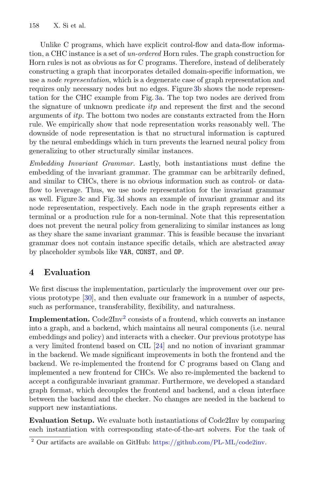Unlike C programs, which have explicit control-flow and data-flow information, a CHC instance is a set of *un-ordered* Horn rules. The graph construction for Horn rules is not as obvious as for C programs. Therefore, instead of deliberately constructing a graph that incorporates detailed domain-specific information, we use a *node representation*, which is a degenerate case of graph representation and requires only necessary nodes but no edges. Figure [3b](#page-6-1) shows the node representation for the CHC example from Fig. [3a](#page-6-1). The top two nodes are derived from the signature of unknown predicate itp and represent the first and the second arguments of itp. The bottom two nodes are constants extracted from the Horn rule. We empirically show that node representation works reasonably well. The downside of node representation is that no structural information is captured by the neural embeddings which in turn prevents the learned neural policy from generalizing to other structurally similar instances.

*Embedding Invariant Grammar.* Lastly, both instantiations must define the embedding of the invariant grammar. The grammar can be arbitrarily defined, and similar to CHCs, there is no obvious information such as control- or dataflow to leverage. Thus, we use node representation for the invariant grammar as well. Figure [3c](#page-6-1) and Fig. [3d](#page-6-1) shows an example of invariant grammar and its node representation, respectively. Each node in the graph represents either a terminal or a production rule for a non-terminal. Note that this representation does not prevent the neural policy from generalizing to similar instances as long as they share the same invariant grammar. This is feasible because the invariant grammar does not contain instance specific details, which are abstracted away by placeholder symbols like VAR, CONST, and OP.

## **4 Evaluation**

We first discuss the implementation, particularly the improvement over our previous prototype [\[30](#page-12-12)], and then evaluate our framework in a number of aspects, such as performance, transferability, flexibility, and naturalness.

**Implementation.** Code[2](#page-7-0)Inv<sup>2</sup> consists of a frontend, which converts an instance into a graph, and a backend, which maintains all neural components (i.e. neural embeddings and policy) and interacts with a checker. Our previous prototype has a very limited frontend based on CIL [\[24](#page-12-13)] and no notion of invariant grammar in the backend. We made significant improvements in both the frontend and the backend. We re-implemented the frontend for C programs based on Clang and implemented a new frontend for CHCs. We also re-implemented the backend to accept a configurable invariant grammar. Furthermore, we developed a standard graph format, which decouples the frontend and backend, and a clean interface between the backend and the checker. No changes are needed in the backend to support new instantiations.

**Evaluation Setup.** We evaluate both instantiations of Code2Inv by comparing each instantiation with corresponding state-of-the-art solvers. For the task of

<span id="page-7-0"></span> $^2$  Our artifacts are available on GitHub: [https://github.com/PL-ML/code2inv.](https://github.com/PL-ML/code2inv)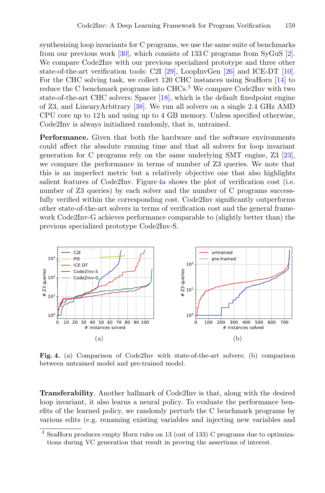synthesizing loop invariants for C programs, we use the same suite of benchmarks from our previous work [\[30](#page-12-12)], which consists of 133 C programs from SyGuS [\[2\]](#page-10-2). We compare Code2Inv with our previous specialized prototype and three other state-of-the-art verification tools: C2I [\[29](#page-12-3)], LoopInvGen [\[26\]](#page-12-2) and ICE-DT [\[10\]](#page-11-2). For the CHC solving task, we collect 120 CHC instances using SeaHorn [\[14](#page-11-15)] to reduce the C benchmark programs into CHCs.<sup>[3](#page-8-0)</sup> We compare Code2Inv with two state-of-the-art CHC solvers: Spacer [\[18](#page-11-16)], which is the default fixedpoint engine of Z3, and LinearyArbitrary [\[38](#page-12-4)]. We run all solvers on a single 2.4 GHz AMD CPU core up to 12 h and using up to 4 GB memory. Unless specified otherwise, Code2Inv is always initialized randomly, that is, untrained.

**Performance.** Given that both the hardware and the software environments could affect the absolute running time and that all solvers for loop invariant generation for C programs rely on the same underlying SMT engine, Z3 [\[23\]](#page-11-17), we compare the performance in terms of number of Z3 queries. We note that this is an imperfect metric but a relatively objective one that also highlights salient features of Code2Inv. Figure [4a](#page-8-1) shows the plot of verification cost (i.e. number of  $Z3$  queries) by each solver and the number of C programs successfully verified within the corresponding cost. Code2Inv significantly outperforms other state-of-the-art solvers in terms of verification cost and the general framework Code2Inv-G achieves performance comparable to (slightly better than) the previous specialized prototype Code2Inv-S.



<span id="page-8-1"></span>**Fig. 4.** (a) Comparison of Code2Inv with state-of-the-art solvers; (b) comparison between untrained model and pre-trained model.

**Transferability**. Another hallmark of Code2Inv is that, along with the desired loop invariant, it also learns a neural policy. To evaluate the performance benefits of the learned policy, we randomly perturb the C benchmark programs by various edits (e.g. renaming existing variables and injecting new variables and

<span id="page-8-0"></span><sup>3</sup> SeaHorn produces empty Horn rules on 13 (out of 133) C programs due to optimizations during VC generation that result in proving the assertions of interest.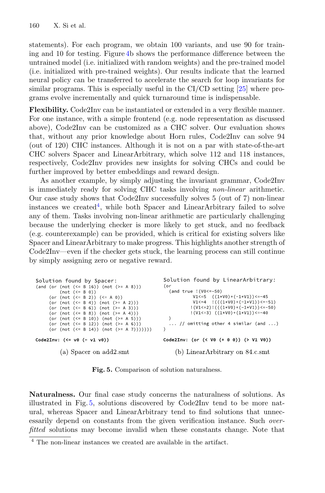statements). For each program, we obtain 100 variants, and use 90 for training and 10 for testing. Figure [4b](#page-8-1) shows the performance difference between the untrained model (i.e. initialized with random weights) and the pre-trained model (i.e. initialized with pre-trained weights). Our results indicate that the learned neural policy can be transferred to accelerate the search for loop invariants for similar programs. This is especially useful in the CI/CD setting [\[25\]](#page-12-5) where programs evolve incrementally and quick turnaround time is indispensable.

**Flexibility.** Code2Inv can be instantiated or extended in a very flexible manner. For one instance, with a simple frontend (e.g. node representation as discussed above), Code2Inv can be customized as a CHC solver. Our evaluation shows that, without any prior knowledge about Horn rules, Code2Inv can solve 94 (out of 120) CHC instances. Although it is not on a par with state-of-the-art CHC solvers Spacer and LinearArbitrary, which solve 112 and 118 instances, respectively, Code2Inv provides new insights for solving CHCs and could be further improved by better embeddings and reward design.

As another example, by simply adjusting the invariant grammar, Code2Inv is immediately ready for solving CHC tasks involving *non-linear* arithmetic. Our case study shows that Code2Inv successfully solves 5 (out of 7) non-linear instances we created<sup>[4](#page-9-0)</sup>, while both Spacer and LinearArbitrary failed to solve any of them. Tasks involving non-linear arithmetic are particularly challenging because the underlying checker is more likely to get stuck, and no feedback (e.g. counterexample) can be provided, which is critical for existing solvers like Spacer and LinearArbitrary to make progress. This highlights another strength of Code2Inv—even if the checker gets stuck, the learning process can still continue by simply assigning zero or negative reward.

| Solution found by Spacer:<br>(and (or (not $(\leq B 16)$ ) (not $(\geq A 8)$ ))<br>$(not (< = B 0))$<br>(or (not $(\leq B 2)$ ) $(\leq A 0)$ )<br>(or (not $(\leq B 4)$ ) (not $(\geq A 2)$ )<br>(or (not $(\leq B 6)$ ) (not $(\geq A 3)$ )<br>(or (not $(\leq B 8)$ ) (not $(\geq A 4)$ ))<br>(or (not $(\leq B 10)$ ) (not $(>= A 5)$ ))<br>(or (not $(\leq B 12)$ ) (not $(\geq A 6)$ ))<br>(or (not $(\leq B 14)$ ) (not $(\geq A 7))$ ))))) | Solution found by LinearArbitrary:<br>(or<br>(and true $!(V0<=-50)$<br>$V1<=5$ $((1*V0)+(-1*V1))<=-45$<br>$V1<=4$ $((((1*V0)+(-1*V1))<=-51)$<br>$:(V1<=2):(((1*V0)+(-1*V1))<=-50)$<br>$!(V1<=3) ((1*V0)+(1*V1))<=-40$<br>$\ldots$ // omitting other 4 similar (and $\ldots$ ) |
|---------------------------------------------------------------------------------------------------------------------------------------------------------------------------------------------------------------------------------------------------------------------------------------------------------------------------------------------------------------------------------------------------------------------------------------------------|-------------------------------------------------------------------------------------------------------------------------------------------------------------------------------------------------------------------------------------------------------------------------------|
| Code2Inv: $(\le v0 (- v1 v0))$                                                                                                                                                                                                                                                                                                                                                                                                                    | Code2Inv: (or $(< V0 (+ 0 0))$ $(> V1 V0)$ )                                                                                                                                                                                                                                  |
| (a) Spacer on add2.smt                                                                                                                                                                                                                                                                                                                                                                                                                            | (b) LinearArbitrary on 84.c.smt                                                                                                                                                                                                                                               |

<span id="page-9-1"></span>**Fig. 5.** Comparison of solution naturalness.

**Naturalness.** Our final case study concerns the naturalness of solutions. As illustrated in Fig. [5,](#page-9-1) solutions discovered by Code2Inv tend to be more natural, whereas Spacer and LinearArbitrary tend to find solutions that unnecessarily depend on constants from the given verification instance. Such *overfitted* solutions may become invalid when these constants change. Note that

<span id="page-9-0"></span><sup>4</sup> The non-linear instances we created are available in the artifact.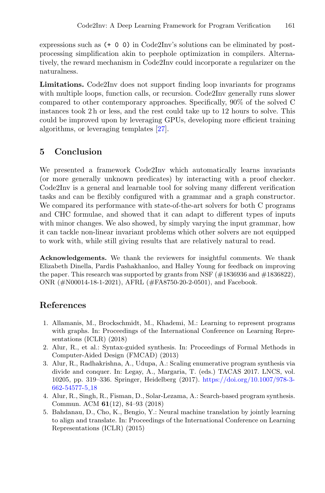expressions such as (+ 0 0) in Code2Inv's solutions can be eliminated by postprocessing simplification akin to peephole optimization in compilers. Alternatively, the reward mechanism in Code2Inv could incorporate a regularizer on the naturalness.

**Limitations.** Code2Inv does not support finding loop invariants for programs with multiple loops, function calls, or recursion. Code2Inv generally runs slower compared to other contemporary approaches. Specifically, 90% of the solved C instances took 2 h or less, and the rest could take up to 12 hours to solve. This could be improved upon by leveraging GPUs, developing more efficient training algorithms, or leveraging templates [\[27](#page-12-14)].

## **5 Conclusion**

We presented a framework Code2Inv which automatically learns invariants (or more generally unknown predicates) by interacting with a proof checker. Code2Inv is a general and learnable tool for solving many different verification tasks and can be flexibly configured with a grammar and a graph constructor. We compared its performance with state-of-the-art solvers for both C programs and CHC formulae, and showed that it can adapt to different types of inputs with minor changes. We also showed, by simply varying the input grammar, how it can tackle non-linear invariant problems which other solvers are not equipped to work with, while still giving results that are relatively natural to read.

**Acknowledgements.** We thank the reviewers for insightful comments. We thank Elizabeth Dinella, Pardis Pashakhanloo, and Halley Young for feedback on improving the paper. This research was supported by grants from NSF  $(\text{\#1836936}$  and  $\text{\#1836822})$ , ONR (#N00014-18-1-2021), AFRL (#FA8750-20-2-0501), and Facebook.

### **References**

- <span id="page-10-3"></span>1. Allamanis, M., Brockschmidt, M., Khademi, M.: Learning to represent programs with graphs. In: Proceedings of the International Conference on Learning Representations (ICLR) (2018)
- <span id="page-10-2"></span>2. Alur, R., et al.: Syntax-guided synthesis. In: Proceedings of Formal Methods in Computer-Aided Design (FMCAD) (2013)
- <span id="page-10-0"></span>3. Alur, R., Radhakrishna, A., Udupa, A.: Scaling enumerative program synthesis via divide and conquer. In: Legay, A., Margaria, T. (eds.) TACAS 2017. LNCS, vol. 10205, pp. 319–336. Springer, Heidelberg (2017). [https://doi.org/10.1007/978-3-](https://doi.org/10.1007/978-3-662-54577-5_18) [662-54577-5](https://doi.org/10.1007/978-3-662-54577-5_18) 18
- <span id="page-10-1"></span>4. Alur, R., Singh, R., Fisman, D., Solar-Lezama, A.: Search-based program synthesis. Commun. ACM **61**(12), 84–93 (2018)
- <span id="page-10-4"></span>5. Bahdanau, D., Cho, K., Bengio, Y.: Neural machine translation by jointly learning to align and translate. In: Proceedings of the International Conference on Learning Representations (ICLR) (2015)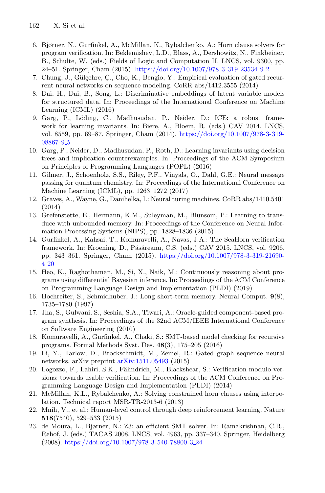- <span id="page-11-13"></span>6. Bjørner, N., Gurfinkel, A., McMillan, K., Rybalchenko, A.: Horn clause solvers for program verification. In: Beklemishev, L.D., Blass, A., Dershowitz, N., Finkbeiner, B., Schulte, W. (eds.) Fields of Logic and Computation II. LNCS, vol. 9300, pp. 24–51. Springer, Cham (2015). [https://doi.org/10.1007/978-3-319-23534-9](https://doi.org/10.1007/978-3-319-23534-9_2) 2
- <span id="page-11-10"></span>7. Chung, J., Gülçehre, C., Cho, K., Bengio, Y.: Empirical evaluation of gated recurrent neural networks on sequence modeling. CoRR abs/1412.3555 (2014)
- <span id="page-11-5"></span>8. Dai, H., Dai, B., Song, L.: Discriminative embeddings of latent variable models for structured data. In: Proceedings of the International Conference on Machine Learning (ICML) (2016)
- <span id="page-11-1"></span>9. Garg, P., Löding, C., Madhusudan, P., Neider, D.: ICE: a robust framework for learning invariants. In: Biere, A., Bloem, R. (eds.) CAV 2014. LNCS, vol. 8559, pp. 69–87. Springer, Cham (2014). [https://doi.org/10.1007/978-3-319-](https://doi.org/10.1007/978-3-319-08867-9_5) [08867-9](https://doi.org/10.1007/978-3-319-08867-9_5) 5
- <span id="page-11-2"></span>10. Garg, P., Neider, D., Madhusudan, P., Roth, D.: Learning invariants using decision trees and implication counterexamples. In: Proceedings of the ACM Symposium on Principles of Programming Languages (POPL) (2016)
- <span id="page-11-6"></span>11. Gilmer, J., Schoenholz, S.S., Riley, P.F., Vinyals, O., Dahl, G.E.: Neural message passing for quantum chemistry. In: Proceedings of the International Conference on Machine Learning (ICML), pp. 1263–1272 (2017)
- <span id="page-11-11"></span>12. Graves, A., Wayne, G., Danihelka, I.: Neural turing machines. CoRR abs/1410.5401 (2014)
- <span id="page-11-12"></span>13. Grefenstette, E., Hermann, K.M., Suleyman, M., Blunsom, P.: Learning to transduce with unbounded memory. In: Proceedings of the Conference on Neural Information Processing Systems (NIPS), pp. 1828–1836 (2015)
- <span id="page-11-15"></span>14. Gurfinkel, A., Kahsai, T., Komuravelli, A., Navas, J.A.: The SeaHorn verification framework. In: Kroening, D., Păsăreanu, C.S. (eds.) CAV 2015. LNCS, vol. 9206. pp. 343–361. Springer, Cham (2015). [https://doi.org/10.1007/978-3-319-21690-](https://doi.org/10.1007/978-3-319-21690-4_20) 4 [20](https://doi.org/10.1007/978-3-319-21690-4_20)
- <span id="page-11-3"></span>15. Heo, K., Raghothaman, M., Si, X., Naik, M.: Continuously reasoning about programs using differential Bayesian inference. In: Proceedings of the ACM Conference on Programming Language Design and Implementation (PLDI) (2019)
- <span id="page-11-9"></span>16. Hochreiter, S., Schmidhuber, J.: Long short-term memory. Neural Comput. **9**(8), 1735–1780 (1997)
- <span id="page-11-0"></span>17. Jha, S., Gulwani, S., Seshia, S.A., Tiwari, A.: Oracle-guided component-based program synthesis. In: Proceedings of the 32nd ACM/IEEE International Conference on Software Engineering (2010)
- <span id="page-11-16"></span>18. Komuravelli, A., Gurfinkel, A., Chaki, S.: SMT-based model checking for recursive programs. Formal Methods Syst. Des. **48**(3), 175–205 (2016)
- <span id="page-11-7"></span>19. Li, Y., Tarlow, D., Brockschmidt, M., Zemel, R.: Gated graph sequence neural networks. arXiv preprint [arXiv:1511.05493](http://arxiv.org/abs/1511.05493) (2015)
- <span id="page-11-4"></span>20. Logozzo, F., Lahiri, S.K., Fähndrich, M., Blackshear, S.: Verification modulo versions: towards usable verification. In: Proceedings of the ACM Conference on Programming Language Design and Implementation (PLDI) (2014)
- <span id="page-11-14"></span>21. McMillan, K.L., Rybalchenko, A.: Solving constrained horn clauses using interpolation. Technical report MSR-TR-2013-6 (2013)
- <span id="page-11-8"></span>22. Mnih, V., et al.: Human-level control through deep reinforcement learning. Nature **518**(7540), 529–533 (2015)
- <span id="page-11-17"></span>23. de Moura, L., Bjørner, N.: Z3: an efficient SMT solver. In: Ramakrishnan, C.R., Rehof, J. (eds.) TACAS 2008. LNCS, vol. 4963, pp. 337–340. Springer, Heidelberg (2008). [https://doi.org/10.1007/978-3-540-78800-3](https://doi.org/10.1007/978-3-540-78800-3_24) 24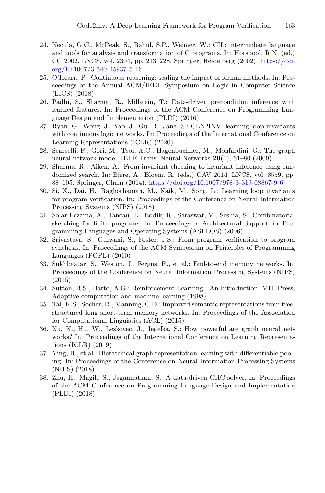- <span id="page-12-13"></span>24. Necula, G.C., McPeak, S., Rahul, S.P., Weimer, W.: CIL: intermediate language and tools for analysis and transformation of C programs. In: Horspool, R.N. (ed.) CC 2002. LNCS, vol. 2304, pp. 213–228. Springer, Heidelberg (2002). [https://doi.](https://doi.org/10.1007/3-540-45937-5_16) [org/10.1007/3-540-45937-5](https://doi.org/10.1007/3-540-45937-5_16) 16
- <span id="page-12-5"></span>25. O'Hearn, P.: Continuous reasoning: scaling the impact of formal methods. In: Proceedings of the Annual ACM/IEEE Symposium on Logic in Computer Science (LICS) (2018)
- <span id="page-12-2"></span>26. Padhi, S., Sharma, R., Millstein, T.: Data-driven precondition inference with learned features. In: Proceedings of the ACM Conference on Programming Language Design and Implementation (PLDI) (2016)
- <span id="page-12-14"></span>27. Ryan, G., Wong, J., Yao, J., Gu, R., Jana, S.: CLN2INV: learning loop invariants with continuous logic networks. In: Proceedings of the International Conference on Learning Representations (ICLR) (2020)
- <span id="page-12-6"></span>28. Scarselli, F., Gori, M., Tsoi, A.C., Hagenbuchner, M., Monfardini, G.: The graph neural network model. IEEE Trans. Neural Networks **20**(1), 61–80 (2009)
- <span id="page-12-3"></span>29. Sharma, R., Aiken, A.: From invariant checking to invariant inference using randomized search. In: Biere, A., Bloem, R. (eds.) CAV 2014. LNCS, vol. 8559, pp. 88–105. Springer, Cham (2014). [https://doi.org/10.1007/978-3-319-08867-9](https://doi.org/10.1007/978-3-319-08867-9_6) 6
- <span id="page-12-12"></span>30. Si, X., Dai, H., Raghothaman, M., Naik, M., Song, L.: Learning loop invariants for program verification. In: Proceedings of the Conference on Neural Information Processing Systems (NIPS) (2018)
- <span id="page-12-0"></span>31. Solar-Lezama, A., Tancau, L., Bodik, R., Saraswat, V., Seshia, S.: Combinatorial sketching for finite programs. In: Proceedings of Architectural Support for Programming Languages and Operating Systems (ASPLOS) (2006)
- <span id="page-12-1"></span>32. Srivastava, S., Gulwani, S., Foster, J.S.: From program verification to program synthesis. In: Proceedings of the ACM Symposium on Principles of Programming Languages (POPL) (2010)
- <span id="page-12-11"></span>33. Sukhbaatar, S., Weston, J., Fergus, R., et al.: End-to-end memory networks. In: Proceedings of the Conference on Neural Information Processing Systems (NIPS) (2015)
- <span id="page-12-7"></span>34. Sutton, R.S., Barto, A.G.: Reinforcement Learning - An Introduction. MIT Press, Adaptive computation and machine learning (1998)
- <span id="page-12-8"></span>35. Tai, K.S., Socher, R., Manning, C.D.: Improved semantic representations from treestructured long short-term memory networks. In: Proceedings of the Association for Computational Linguistics (ACL) (2015)
- <span id="page-12-9"></span>36. Xu, K., Hu, W., Leskovec, J., Jegelka, S.: How powerful are graph neural networks? In: Proceedings of the International Conference on Learning Representations (ICLR) (2019)
- <span id="page-12-10"></span>37. Ying, R., et al.: Hierarchical graph representation learning with differentiable pooling. In: Proceedings of the Conference on Neural Information Processing Systems (NIPS) (2018)
- <span id="page-12-4"></span>38. Zhu, H., Magill, S., Jagannathan, S.: A data-driven CHC solver. In: Proceedings of the ACM Conference on Programming Language Design and Implementation (PLDI) (2018)